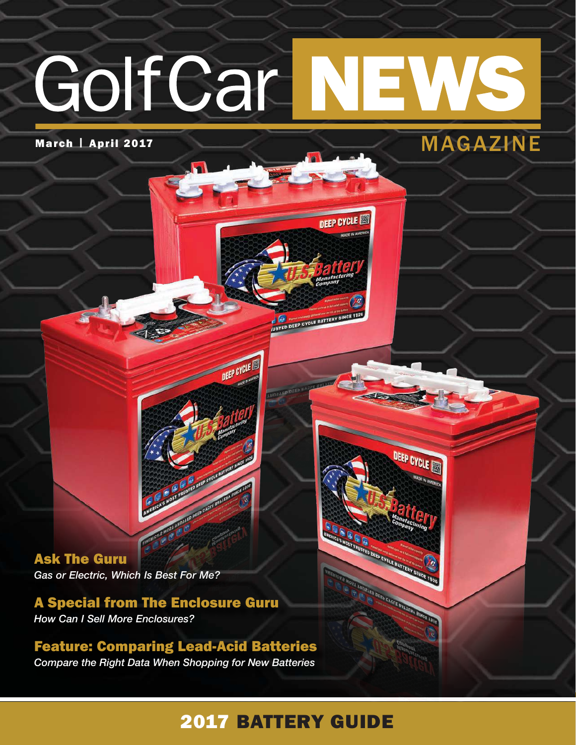# GolfCar NE

**DEEP CYCLE** 

DEEP CYCLE

ED DEEP CYCLE BATTE

USTED DEEP CYCLE BATTERY SINCE 192



Ask The Guru *Gas or Electric, Which Is Best For Me?*

A Special from The Enclosure Guru *How Can I Sell More Enclosures?*

Feature: Comparing Lead-Acid Batteries *Compare the Right Data When Shopping for New Batteries*

### 2017 BATTERY GUIDE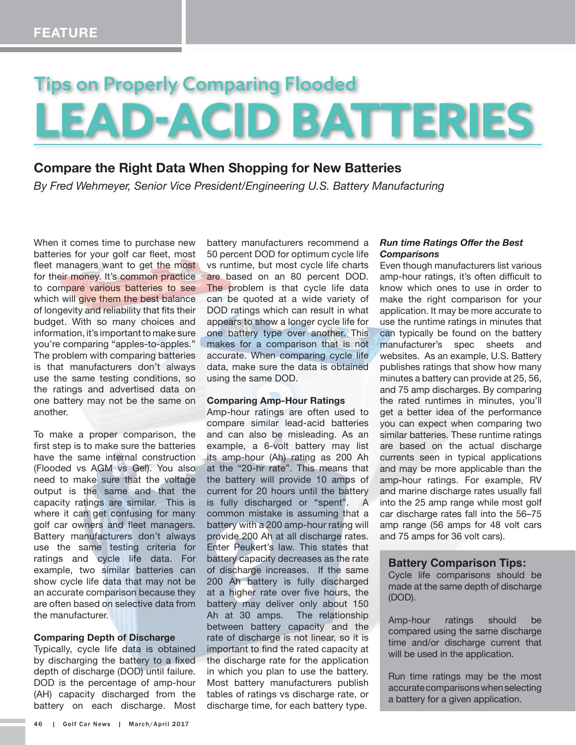## Tips on Properly Comparing Flooded **LEAD-ACID BATTERIES**

#### **Compare the Right Data When Shopping for New Batteries**

*By Fred Wehmeyer, Senior Vice President/Engineering U.S. Battery Manufacturing*

When it comes time to purchase new batteries for your golf car fleet, most fleet managers want to get the most for their money. It's common practice to compare various batteries to see which will give them the best balance of longevity and reliability that fits their budget. With so many choices and information, it's important to make sure you're comparing "apples-to-apples." The problem with comparing batteries is that manufacturers don't always use the same testing conditions, so the ratings and advertised data on one battery may not be the same on another.

To make a proper comparison, the first step is to make sure the batteries have the same internal construction (Flooded vs AGM vs Gel). You also need to make sure that the voltage output is the same and that the capacity ratings are similar. This is where it can get confusing for many golf car owners and fleet managers. Battery manufacturers don't always use the same testing criteria for ratings and cycle life data. For example, two similar batteries can show cycle life data that may not be an accurate comparison because they are often based on selective data from the manufacturer.

#### **Comparing Depth of Discharge**

Typically, cycle life data is obtained by discharging the battery to a fixed depth of discharge (DOD) until failure. DOD is the percentage of amp-hour (AH) capacity discharged from the battery on each discharge. Most battery manufacturers recommend a 50 percent DOD for optimum cycle life vs runtime, but most cycle life charts are based on an 80 percent DOD. The problem is that cycle life data can be quoted at a wide variety of DOD ratings which can result in what appears to show a longer cycle life for one battery type over another. This makes for a comparison that is not accurate. When comparing cycle life data, make sure the data is obtained using the same DOD.

#### **Comparing Amp-Hour Ratings**

Amp-hour ratings are often used to compare similar lead-acid batteries and can also be misleading. As an example, a 6-volt battery may list its amp-hour (Ah) rating as 200 Ah at the "20-hr rate". This means that the battery will provide 10 amps of current for 20 hours until the battery is fully discharged or "spent". A common mistake is assuming that a battery with a 200 amp-hour rating will provide 200 Ah at all discharge rates. Enter Peukert's law. This states that battery capacity decreases as the rate of discharge increases. If the same 200 Ah battery is fully discharged at a higher rate over five hours, the battery may deliver only about 150 Ah at 30 amps. The relationship between battery capacity and the rate of discharge is not linear, so it is important to find the rated capacity at the discharge rate for the application in which you plan to use the battery. Most battery manufacturers publish tables of ratings vs discharge rate, or discharge time, for each battery type.

#### *Run time Ratings Offer the Best Comparisons*

Even though manufacturers list various amp-hour ratings, it's often difficult to know which ones to use in order to make the right comparison for your application. It may be more accurate to use the runtime ratings in minutes that can typically be found on the battery manufacturer's spec sheets and websites. As an example, U.S. Battery publishes ratings that show how many minutes a battery can provide at 25, 56, and 75 amp discharges. By comparing the rated runtimes in minutes, you'll get a better idea of the performance you can expect when comparing two similar batteries. These runtime ratings are based on the actual discharge currents seen in typical applications and may be more applicable than the amp-hour ratings. For example, RV and marine discharge rates usually fall into the 25 amp range while most golf car discharge rates fall into the 56–75 amp range (56 amps for 48 volt cars and 75 amps for 36 volt cars).

#### **Battery Comparison Tips:**

Cycle life comparisons should be made at the same depth of discharge (DOD).

Amp-hour ratings should be compared using the same discharge time and/or discharge current that will be used in the application.

Run time ratings may be the most accurate comparisons when selecting a battery for a given application.